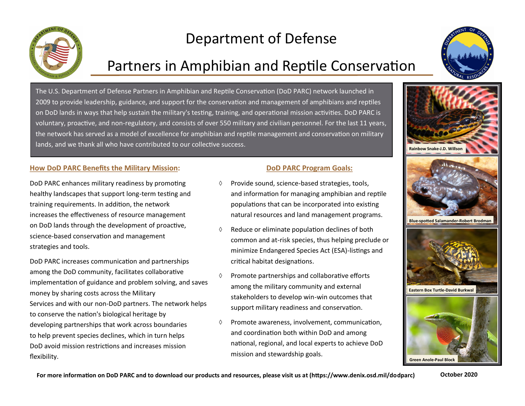

# Department of Defense

## Partners in Amphibian and Reptile Conservation



The U.S. Department of Defense Partners in Amphibian and Reptile Conservation (DoD PARC) network launched in 2009 to provide leadership, guidance, and support for the conservation and management of amphibians and reptiles on DoD lands in ways that help sustain the military's testing, training, and operational mission activities. DoD PARC is voluntary, proactive, and non-regulatory, and consists of over 550 military and civilian personnel. For the last 11 years, the network has served as a model of excellence for amphibian and reptile management and conservation on military lands, and we thank all who have contributed to our collective success.

#### **How DoD PARC Benefits the Military Mission:**

DoD PARC enhances military readiness by promoting healthy landscapes that support long-term testing and training requirements. In addition, the network increases the effectiveness of resource management on DoD lands through the development of proactive, science-based conservation and management strategies and tools.

DoD PARC increases communication and partnerships among the DoD community, facilitates collaborative implementation of guidance and problem solving, and saves money by sharing costs across the Military Services and with our non-DoD partners. The network helps to conserve the nation's biological heritage by developing partnerships that work across boundaries to help prevent species declines, which in turn helps DoD avoid mission restrictions and increases mission flexibility.

#### **DoD PARC Program Goals:**

- $\Diamond$  Provide sound, science-based strategies, tools, and information for managing amphibian and reptile populations that can be incorporated into existing natural resources and land management programs.
- Reduce or eliminate population declines of both common and at-risk species, thus helping preclude or minimize Endangered Species Act (ESA)-listings and critical habitat designations.
- Promote partnerships and collaborative efforts among the military community and external stakeholders to develop win-win outcomes that support military readiness and conservation.
- $\Diamond$  Promote awareness, involvement, communication, and coordination both within DoD and among national, regional, and local experts to achieve DoD mission and stewardship goals.



**For more information on DoD PARC and to download our products and resources, please visit us at (https://www.denix.osd.mil/dodparc)**

**October 2020**

**Green Anole-Paul Block**